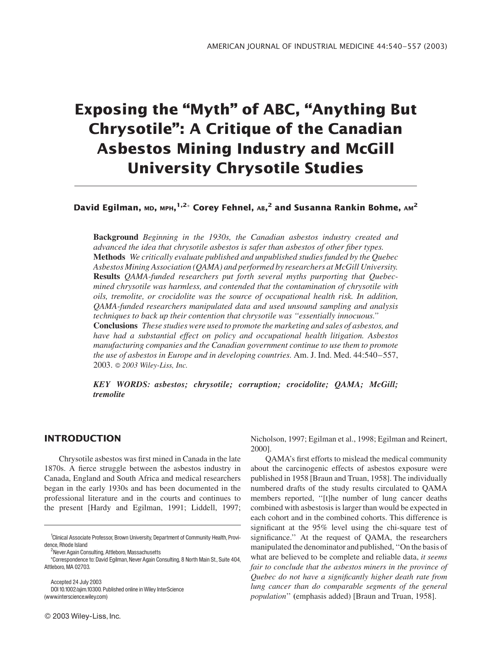# Exposing the ''Myth'' of ABC, ''Anything But Chrysotile'': A Critique of the Canadian Asbestos Mining Industry and McGill University Chrysotile Studies

David Egilman, мр, мрн, $^{1,2*}$  Corey Fehnel, дв, $^2$  and Susanna Rankin Bohme, дм $^2$ 

Background Beginning in the 1930s, the Canadian asbestos industry created and advanced the idea that chrysotile asbestos is safer than asbestos of other fiber types. Methods We critically evaluate published and unpublished studies funded by the Quebec Asbestos Mining Association (QAMA) and performed by researchers at McGill University. Results QAMA-funded researchers put forth several myths purporting that Quebecmined chrysotile was harmless, and contended that the contamination of chrysotile with oils, tremolite, or crocidolite was the source of occupational health risk. In addition, QAMA-funded researchers manipulated data and used unsound sampling and analysis techniques to back up their contention that chrysotile was ''essentially innocuous.''

Conclusions These studies were used to promote the marketing and sales of asbestos, and have had a substantial effect on policy and occupational health litigation. Asbestos manufacturing companies and the Canadian government continue to use them to promote the use of asbestos in Europe and in developing countries. Am. J. Ind. Med. 44:540–557, 2003. © 2003 Wiley-Liss, Inc.

KEY WORDS: asbestos; chrysotile; corruption; crocidolite; QAMA; McGill; tremolite

2000].

#### INTRODUCTION

Chrysotile asbestos was first mined in Canada in the late 1870s. A fierce struggle between the asbestos industry in Canada, England and South Africa and medical researchers began in the early 1930s and has been documented in the professional literature and in the courts and continues to the present [Hardy and Egilman, 1991; Liddell, 1997;

<sup>2</sup>Never Again Consulting, Attleboro, Massachusetts

Accepted 24 July 2003 DOI 10.1002/ajim.10300. Published online in Wiley InterScience (www.interscience.wiley.com)

published in 1958 [Braun and Truan, 1958]. The individually numbered drafts of the study results circulated to QAMA

members reported, ''[t]he number of lung cancer deaths combined with asbestosis is larger than would be expected in each cohort and in the combined cohorts. This difference is significant at the 95% level using the chi-square test of significance.'' At the request of QAMA, the researchers manipulated the denominator and published, ''On the basis of what are believed to be complete and reliable data, it seems fair to conclude that the asbestos miners in the province of Quebec do not have a significantly higher death rate from lung cancer than do comparable segments of the general population'' (emphasis added) [Braun and Truan, 1958].

Nicholson, 1997; Egilman et al., 1998; Egilman and Reinert,

QAMA's first efforts to mislead the medical community about the carcinogenic effects of asbestos exposure were

<sup>&</sup>lt;sup>1</sup>Clinical Associate Professor, Brown University, Department of Community Health, Providence, Rhode Island <sup>2</sup>

<sup>\*</sup>Correspondence to: David Egilman, Never Again Consulting, 8 North Main St., Suite 404, Attleboro, MA 02703.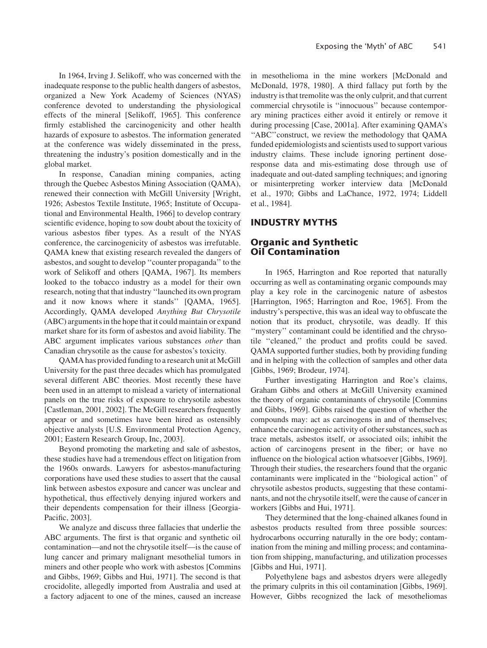In 1964, Irving J. Selikoff, who was concerned with the inadequate response to the public health dangers of asbestos, organized a New York Academy of Sciences (NYAS) conference devoted to understanding the physiological effects of the mineral [Selikoff, 1965]. This conference firmly established the carcinogenicity and other health hazards of exposure to asbestos. The information generated at the conference was widely disseminated in the press, threatening the industry's position domestically and in the global market.

In response, Canadian mining companies, acting through the Quebec Asbestos Mining Association (QAMA), renewed their connection with McGill University [Wright, 1926; Asbestos Textile Institute, 1965; Institute of Occupational and Environmental Health, 1966] to develop contrary scientific evidence, hoping to sow doubt about the toxicity of various asbestos fiber types. As a result of the NYAS conference, the carcinogenicity of asbestos was irrefutable. QAMA knew that existing research revealed the dangers of asbestos, and sought to develop ''counter propaganda'' to the work of Selikoff and others [QAMA, 1967]. Its members looked to the tobacco industry as a model for their own research, noting that that industry ''launched its own program and it now knows where it stands'' [QAMA, 1965]. Accordingly, QAMA developed Anything But Chrysotile (ABC) arguments in the hope that it could maintain or expand market share for its form of asbestos and avoid liability. The ABC argument implicates various substances other than Canadian chrysotile as the cause for asbestos's toxicity.

QAMA has provided funding to a research unit at McGill University for the past three decades which has promulgated several different ABC theories. Most recently these have been used in an attempt to mislead a variety of international panels on the true risks of exposure to chrysotile asbestos [Castleman, 2001, 2002]. The McGill researchers frequently appear or and sometimes have been hired as ostensibly objective analysts [U.S. Environmental Protection Agency, 2001; Eastern Research Group, Inc, 2003].

Beyond promoting the marketing and sale of asbestos, these studies have had a tremendous effect on litigation from the 1960s onwards. Lawyers for asbestos-manufacturing corporations have used these studies to assert that the causal link between asbestos exposure and cancer was unclear and hypothetical, thus effectively denying injured workers and their dependents compensation for their illness [Georgia-Pacific, 2003].

We analyze and discuss three fallacies that underlie the ABC arguments. The first is that organic and synthetic oil contamination—and not the chrysotile itself—is the cause of lung cancer and primary malignant mesothelial tumors in miners and other people who work with asbestos [Commins and Gibbs, 1969; Gibbs and Hui, 1971]. The second is that crocidolite, allegedly imported from Australia and used at a factory adjacent to one of the mines, caused an increase

in mesothelioma in the mine workers [McDonald and McDonald, 1978, 1980]. A third fallacy put forth by the industry is that tremolite was the only culprit, and that current commercial chrysotile is ''innocuous'' because contemporary mining practices either avoid it entirely or remove it during processing [Case, 2001a]. After examining QAMA's "ABC" construct, we review the methodology that QAMA funded epidemiologists and scientists used to support various industry claims. These include ignoring pertinent doseresponse data and mis-estimating dose through use of inadequate and out-dated sampling techniques; and ignoring or misinterpreting worker interview data [McDonald et al., 1970; Gibbs and LaChance, 1972, 1974; Liddell et al., 1984].

# INDUSTRY MYTHS

## Organic and Synthetic Oil Contamination

In 1965, Harrington and Roe reported that naturally occurring as well as contaminating organic compounds may play a key role in the carcinogenic nature of asbestos [Harrington, 1965; Harrington and Roe, 1965]. From the industry's perspective, this was an ideal way to obfuscate the notion that its product, chrysotile, was deadly. If this "mystery" contaminant could be identified and the chrysotile ''cleaned,'' the product and profits could be saved. QAMA supported further studies, both by providing funding and in helping with the collection of samples and other data [Gibbs, 1969; Brodeur, 1974].

Further investigating Harrington and Roe's claims, Graham Gibbs and others at McGill University examined the theory of organic contaminants of chrysotile [Commins and Gibbs, 1969]. Gibbs raised the question of whether the compounds may: act as carcinogens in and of themselves; enhance the carcinogenic activity of other substances, such as trace metals, asbestos itself, or associated oils; inhibit the action of carcinogens present in the fiber; or have no influence on the biological action whatsoever [Gibbs, 1969]. Through their studies, the researchers found that the organic contaminants were implicated in the ''biological action'' of chrysotile asbestos products, suggesting that these contaminants, and not the chrysotile itself, were the cause of cancer in workers [Gibbs and Hui, 1971].

They determined that the long-chained alkanes found in asbestos products resulted from three possible sources: hydrocarbons occurring naturally in the ore body; contamination from the mining and milling process; and contamination from shipping, manufacturing, and utilization processes [Gibbs and Hui, 1971].

Polyethylene bags and asbestos dryers were allegedly the primary culprits in this oil contamination [Gibbs, 1969]. However, Gibbs recognized the lack of mesotheliomas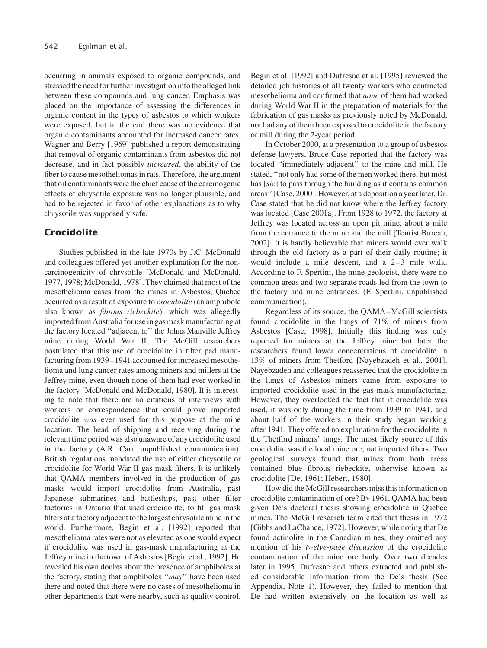occurring in animals exposed to organic compounds, and stressed the need for further investigation into the alleged link between these compounds and lung cancer. Emphasis was placed on the importance of assessing the differences in organic content in the types of asbestos to which workers were exposed, but in the end there was no evidence that organic contaminants accounted for increased cancer rates. Wagner and Berry [1969] published a report demonstrating that removal of organic contaminants from asbestos did not decrease, and in fact possibly increased, the ability of the fiber to cause mesotheliomas in rats. Therefore, the argument that oil contaminants were the chief cause of the carcinogenic effects of chrysotile exposure was no longer plausible, and had to be rejected in favor of other explanations as to why chrysotile was supposedly safe.

## Crocidolite

Studies published in the late 1970s by J.C. McDonald and colleagues offered yet another explanation for the noncarcinogenicity of chrysotile [McDonald and McDonald, 1977, 1978; McDonald, 1978]. They claimed that most of the mesothelioma cases from the mines in Asbestos, Quebec occurred as a result of exposure to crocidolite (an amphibole also known as fibrous riebeckite), which was allegedly imported from Australia for use in gas mask manufacturing at the factory located ''adjacent to'' the Johns Manville Jeffrey mine during World War II. The McGill researchers postulated that this use of crocidolite in filter pad manufacturing from 1939–1941 accounted for increased mesothelioma and lung cancer rates among miners and millers at the Jeffrey mine, even though none of them had ever worked in the factory [McDonald and McDonald, 1980]. It is interesting to note that there are no citations of interviews with workers or correspondence that could prove imported crocidolite was ever used for this purpose at the mine location. The head of shipping and receiving during the relevant time period was also unaware of any crocidolite used in the factory (A.R. Carr, unpublished communication). British regulations mandated the use of either chrysotile or crocidolite for World War II gas mask filters. It is unlikely that QAMA members involved in the production of gas masks would import crocidolite from Australia, past Japanese submarines and battleships, past other filter factories in Ontario that used crocidolite, to fill gas mask filters at a factory adjacent to the largest chrysotile mine in the world. Furthermore, Begin et al. [1992] reported that mesothelioma rates were not as elevated as one would expect if crocidolite was used in gas-mask manufacturing at the Jeffrey mine in the town of Asbestos [Begin et al., 1992]. He revealed his own doubts about the presence of amphiboles at the factory, stating that amphiboles ''may'' have been used there and noted that there were no cases of mesothelioma in other departments that were nearby, such as quality control.

Begin et al. [1992] and Dufresne et al. [1995] reviewed the detailed job histories of all twenty workers who contracted mesothelioma and confirmed that none of them had worked during World War II in the preparation of materials for the fabrication of gas masks as previously noted by McDonald, nor had any of them been exposed to crocidolite in the factory or mill during the 2-year period.

In October 2000, at a presentation to a group of asbestos defense lawyers, Bruce Case reported that the factory was located ''immediately adjacent'' to the mine and mill. He stated, ''not only had some of the men worked there, but most has [sic] to pass through the building as it contains common areas'' [Case, 2000]. However, at a deposition a year later, Dr. Case stated that he did not know where the Jeffrey factory was located [Case 2001a]. From 1928 to 1972, the factory at Jeffrey was located across an open pit mine, about a mile from the entrance to the mine and the mill [Tourist Bureau, 2002]. It is hardly believable that miners would ever walk through the old factory as a part of their daily routine; it would include a mile descent, and a 2–3 mile walk. According to F. Spertini, the mine geologist, there were no common areas and two separate roads led from the town to the factory and mine entrances. (F. Spertini, unpublished communication).

Regardless of its source, the QAMA–McGill scientists found crocidolite in the lungs of 71% of miners from Asbestos [Case, 1998]. Initially this finding was only reported for miners at the Jeffrey mine but later the researchers found lower concentrations of crocidolite in 13% of miners from Thetford [Nayebzadeh et al., 2001]. Nayebzadeh and colleagues reasserted that the crocidolite in the lungs of Asbestos miners came from exposure to imported crocidolite used in the gas mask manufacturing. However, they overlooked the fact that if crocidolite was used, it was only during the time from 1939 to 1941, and about half of the workers in their study began working after 1941. They offered no explanation for the crocidolite in the Thetford miners' lungs. The most likely source of this crocidolite was the local mine ore, not imported fibers. Two geological surveys found that mines from both areas contained blue fibrous riebeckite, otherwise known as crocidolite [De, 1961; Hebert, 1980].

How did the McGill researchers miss this information on crocidolite contamination of ore? By 1961, QAMA had been given De's doctoral thesis showing crocidolite in Quebec mines. The McGill research team cited that thesis in 1972 [Gibbs and LaChance, 1972]. However, while noting that De found actinolite in the Canadian mines, they omitted any mention of his twelve-page discussion of the crocidolite contamination of the mine ore body. Over two decades later in 1995, Dufresne and others extracted and published considerable information from the De's thesis (See Appendix, Note 1). However, they failed to mention that De had written extensively on the location as well as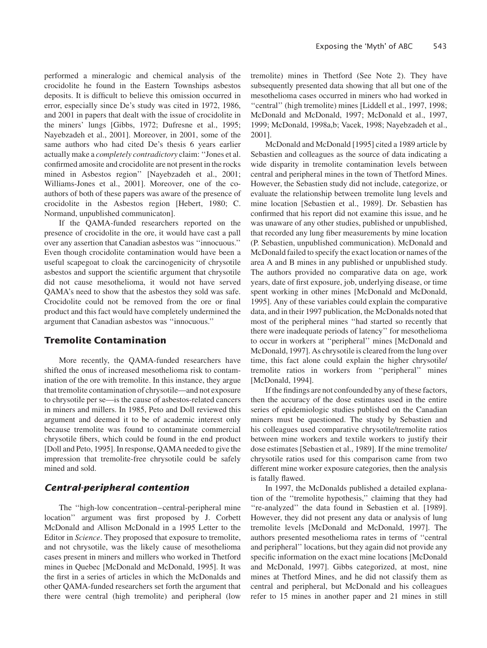performed a mineralogic and chemical analysis of the crocidolite he found in the Eastern Townships asbestos deposits. It is difficult to believe this omission occurred in error, especially since De's study was cited in 1972, 1986, and 2001 in papers that dealt with the issue of crocidolite in the miners' lungs [Gibbs, 1972; Dufresne et al., 1995; Nayebzadeh et al., 2001]. Moreover, in 2001, some of the same authors who had cited De's thesis 6 years earlier actually make a completely contradictory claim: ''Jones et al. confirmed amosite and crocidolite are not present in the rocks mined in Asbestos region'' [Nayebzadeh et al., 2001; Williams-Jones et al., 2001]. Moreover, one of the coauthors of both of these papers was aware of the presence of crocidolite in the Asbestos region [Hebert, 1980; C. Normand, unpublished communicaton].

If the QAMA-funded researchers reported on the presence of crocidolite in the ore, it would have cast a pall over any assertion that Canadian asbestos was ''innocuous.'' Even though crocidolite contamination would have been a useful scapegoat to cloak the carcinogenicity of chrysotile asbestos and support the scientific argument that chrysotile did not cause mesothelioma, it would not have served QAMA's need to show that the asbestos they sold was safe. Crocidolite could not be removed from the ore or final product and this fact would have completely undermined the argument that Canadian asbestos was ''innocuous.''

#### Tremolite Contamination

More recently, the QAMA-funded researchers have shifted the onus of increased mesothelioma risk to contamination of the ore with tremolite. In this instance, they argue that tremolite contamination of chrysotile—and not exposure to chrysotile per se—is the cause of asbestos-related cancers in miners and millers. In 1985, Peto and Doll reviewed this argument and deemed it to be of academic interest only because tremolite was found to contaminate commercial chrysotile fibers, which could be found in the end product [Doll and Peto, 1995]. In response, QAMA needed to give the impression that tremolite-free chrysotile could be safely mined and sold.

## Central-peripheral contention

The ''high-low concentration–central-peripheral mine location'' argument was first proposed by J. Corbett McDonald and Allison McDonald in a 1995 Letter to the Editor in Science. They proposed that exposure to tremolite, and not chrysotile, was the likely cause of mesothelioma cases present in miners and millers who worked in Thetford mines in Quebec [McDonald and McDonald, 1995]. It was the first in a series of articles in which the McDonalds and other QAMA-funded researchers set forth the argument that there were central (high tremolite) and peripheral (low tremolite) mines in Thetford (See Note 2). They have subsequently presented data showing that all but one of the mesothelioma cases occurred in miners who had worked in "central" (high tremolite) mines [Liddell et al., 1997, 1998; McDonald and McDonald, 1997; McDonald et al., 1997, 1999; McDonald, 1998a,b; Vacek, 1998; Nayebzadeh et al., 2001].

McDonald and McDonald [1995] cited a 1989 article by Sebastien and colleagues as the source of data indicating a wide disparity in tremolite contamination levels between central and peripheral mines in the town of Thetford Mines. However, the Sebastien study did not include, categorize, or evaluate the relationship between tremolite lung levels and mine location [Sebastien et al., 1989]. Dr. Sebastien has confirmed that his report did not examine this issue, and he was unaware of any other studies, published or unpublished, that recorded any lung fiber measurements by mine location (P. Sebastien, unpublished communication). McDonald and McDonald failed to specify the exact location or names of the area A and B mines in any published or unpublished study. The authors provided no comparative data on age, work years, date of first exposure, job, underlying disease, or time spent working in other mines [McDonald and McDonald, 1995]. Any of these variables could explain the comparative data, and in their 1997 publication, the McDonalds noted that most of the peripheral mines ''had started so recently that there were inadequate periods of latency'' for mesothelioma to occur in workers at ''peripheral'' mines [McDonald and McDonald, 1997]. As chrysotile is cleared from the lung over time, this fact alone could explain the higher chrysotile/ tremolite ratios in workers from ''peripheral'' mines [McDonald, 1994].

If the findings are not confounded by any of these factors, then the accuracy of the dose estimates used in the entire series of epidemiologic studies published on the Canadian miners must be questioned. The study by Sebastien and his colleagues used comparative chrysotile/tremolite ratios between mine workers and textile workers to justify their dose estimates [Sebastien et al., 1989]. If the mine tremolite/ chrysotile ratios used for this comparison came from two different mine worker exposure categories, then the analysis is fatally flawed.

In 1997, the McDonalds published a detailed explanation of the ''tremolite hypothesis,'' claiming that they had ''re-analyzed'' the data found in Sebastien et al. [1989]. However, they did not present any data or analysis of lung tremolite levels [McDonald and McDonald, 1997]. The authors presented mesothelioma rates in terms of ''central and peripheral'' locations, but they again did not provide any specific information on the exact mine locations [McDonald and McDonald, 1997]. Gibbs categorized, at most, nine mines at Thetford Mines, and he did not classify them as central and peripheral, but McDonald and his colleagues refer to 15 mines in another paper and 21 mines in still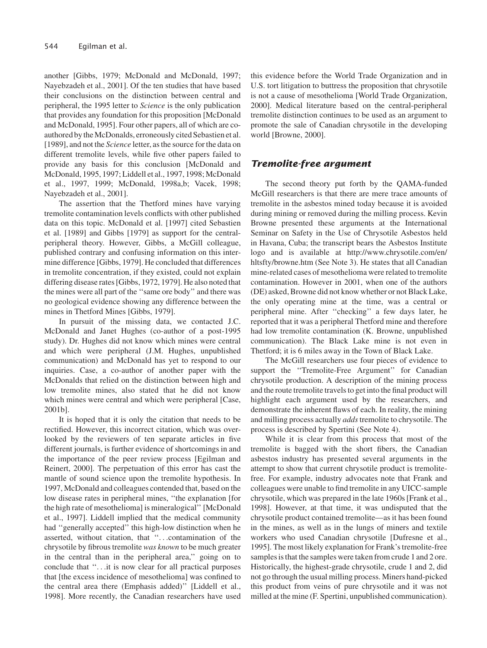another [Gibbs, 1979; McDonald and McDonald, 1997; Nayebzadeh et al., 2001]. Of the ten studies that have based their conclusions on the distinction between central and peripheral, the 1995 letter to Science is the only publication that provides any foundation for this proposition [McDonald and McDonald, 1995]. Four other papers, all of which are coauthored by the McDonalds, erroneously cited Sebastien et al. [1989], and not the *Science* letter, as the source for the data on different tremolite levels, while five other papers failed to provide any basis for this conclusion [McDonald and McDonald, 1995, 1997; Liddell et al., 1997, 1998; McDonald et al., 1997, 1999; McDonald, 1998a,b; Vacek, 1998; Nayebzadeh et al., 2001].

The assertion that the Thetford mines have varying tremolite contamination levels conflicts with other published data on this topic. McDonald et al. [1997] cited Sebastien et al. [1989] and Gibbs [1979] as support for the centralperipheral theory. However, Gibbs, a McGill colleague, published contrary and confusing information on this intermine difference [Gibbs, 1979]. He concluded that differences in tremolite concentration, if they existed, could not explain differing disease rates [Gibbs, 1972, 1979]. He also noted that the mines were all part of the ''same ore body'' and there was no geological evidence showing any difference between the mines in Thetford Mines [Gibbs, 1979].

In pursuit of the missing data, we contacted J.C. McDonald and Janet Hughes (co-author of a post-1995 study). Dr. Hughes did not know which mines were central and which were peripheral (J.M. Hughes, unpublished communication) and McDonald has yet to respond to our inquiries. Case, a co-author of another paper with the McDonalds that relied on the distinction between high and low tremolite mines, also stated that he did not know which mines were central and which were peripheral [Case, 2001b].

It is hoped that it is only the citation that needs to be rectified. However, this incorrect citation, which was overlooked by the reviewers of ten separate articles in five different journals, is further evidence of shortcomings in and the importance of the peer review process [Egilman and Reinert, 2000]. The perpetuation of this error has cast the mantle of sound science upon the tremolite hypothesis. In 1997, McDonald and colleagues contended that, based on the low disease rates in peripheral mines, ''the explanation [for the high rate of mesothelioma] is mineralogical'' [McDonald et al., 1997]. Liddell implied that the medical community had ''generally accepted'' this high-low distinction when he asserted, without citation, that ''...contamination of the chrysotile by fibrous tremolite was known to be much greater in the central than in the peripheral area," going on to conclude that ''...it is now clear for all practical purposes that [the excess incidence of mesothelioma] was confined to the central area there (Emphasis added)'' [Liddell et al., 1998]. More recently, the Canadian researchers have used

this evidence before the World Trade Organization and in U.S. tort litigation to buttress the proposition that chrysotile is not a cause of mesothelioma [World Trade Organization, 2000]. Medical literature based on the central-peripheral tremolite distinction continues to be used as an argument to promote the sale of Canadian chrysotile in the developing world [Browne, 2000].

## Tremolite-free argument

The second theory put forth by the QAMA-funded McGill researchers is that there are mere trace amounts of tremolite in the asbestos mined today because it is avoided during mining or removed during the milling process. Kevin Browne presented these arguments at the International Seminar on Safety in the Use of Chrysotile Asbestos held in Havana, Cuba; the transcript bears the Asbestos Institute logo and is available at http://www.chrysotile.com/en/ hltsfty/browne.htm (See Note 3). He states that all Canadian mine-related cases of mesothelioma were related to tremolite contamination. However in 2001, when one of the authors (DE) asked, Browne did not know whether or not Black Lake, the only operating mine at the time, was a central or peripheral mine. After ''checking'' a few days later, he reported that it was a peripheral Thetford mine and therefore had low tremolite contamination (K. Browne, unpublished communication). The Black Lake mine is not even in Thetford; it is 6 miles away in the Town of Black Lake.

The McGill researchers use four pieces of evidence to support the "Tremolite-Free Argument" for Canadian chrysotile production. A description of the mining process and the route tremolite travels to get into the final product will highlight each argument used by the researchers, and demonstrate the inherent flaws of each. In reality, the mining and milling process actually *adds* tremolite to chrysotile. The process is described by Spertini (See Note 4).

While it is clear from this process that most of the tremolite is bagged with the short fibers, the Canadian asbestos industry has presented several arguments in the attempt to show that current chrysotile product is tremolitefree. For example, industry advocates note that Frank and colleagues were unable to find tremolite in any UICC-sample chrysotile, which was prepared in the late 1960s [Frank et al., 1998]. However, at that time, it was undisputed that the chrysotile product contained tremolite—as it has been found in the mines, as well as in the lungs of miners and textile workers who used Canadian chrysotile [Dufresne et al., 1995]. The most likely explanation for Frank's tremolite-free samples is that the samples were taken from crude 1 and 2 ore. Historically, the highest-grade chrysotile, crude 1 and 2, did not go through the usual milling process. Miners hand-picked this product from veins of pure chrysotile and it was not milled at the mine (F. Spertini, unpublished communication).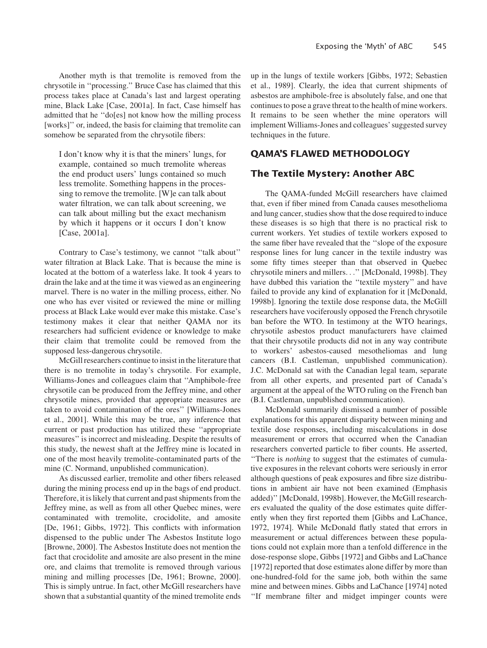Another myth is that tremolite is removed from the chrysotile in ''processing.'' Bruce Case has claimed that this process takes place at Canada's last and largest operating mine, Black Lake [Case, 2001a]. In fact, Case himself has admitted that he ''do[es] not know how the milling process [works]'' or, indeed, the basis for claiming that tremolite can somehow be separated from the chrysotile fibers:

I don't know why it is that the miners' lungs, for example, contained so much tremolite whereas the end product users' lungs contained so much less tremolite. Something happens in the processing to remove the tremolite. [W]e can talk about water filtration, we can talk about screening, we can talk about milling but the exact mechanism by which it happens or it occurs I don't know [Case, 2001a].

Contrary to Case's testimony, we cannot ''talk about'' water filtration at Black Lake. That is because the mine is located at the bottom of a waterless lake. It took 4 years to drain the lake and at the time it was viewed as an engineering marvel. There is no water in the milling process, either. No one who has ever visited or reviewed the mine or milling process at Black Lake would ever make this mistake. Case's testimony makes it clear that neither QAMA nor its researchers had sufficient evidence or knowledge to make their claim that tremolite could be removed from the supposed less-dangerous chrysotile.

McGill researchers continue to insist in the literature that there is no tremolite in today's chrysotile. For example, Williams-Jones and colleagues claim that ''Amphibole-free chrysotile can be produced from the Jeffrey mine, and other chrysotile mines, provided that appropriate measures are taken to avoid contamination of the ores'' [Williams-Jones et al., 2001]. While this may be true, any inference that current or past production has utilized these ''appropriate measures'' is incorrect and misleading. Despite the results of this study, the newest shaft at the Jeffrey mine is located in one of the most heavily tremolite-contaminated parts of the mine (C. Normand, unpublished communication).

As discussed earlier, tremolite and other fibers released during the mining process end up in the bags of end product. Therefore, it is likely that current and past shipments from the Jeffrey mine, as well as from all other Quebec mines, were contaminated with tremolite, crocidolite, and amosite [De, 1961; Gibbs, 1972]. This conflicts with information dispensed to the public under The Asbestos Institute logo [Browne, 2000]. The Asbestos Institute does not mention the fact that crocidolite and amosite are also present in the mine ore, and claims that tremolite is removed through various mining and milling processes [De, 1961; Browne, 2000]. This is simply untrue. In fact, other McGill researchers have shown that a substantial quantity of the mined tremolite ends

up in the lungs of textile workers [Gibbs, 1972; Sebastien et al., 1989]. Clearly, the idea that current shipments of asbestos are amphibole-free is absolutely false, and one that continues to pose a grave threat to the health of mine workers. It remains to be seen whether the mine operators will implement Williams-Jones and colleagues' suggested survey techniques in the future.

# QAMA'S FLAWED METHODOLOGY

#### The Textile Mystery: Another ABC

The QAMA-funded McGill researchers have claimed that, even if fiber mined from Canada causes mesothelioma and lung cancer, studies show that the dose required to induce these diseases is so high that there is no practical risk to current workers. Yet studies of textile workers exposed to the same fiber have revealed that the ''slope of the exposure response lines for lung cancer in the textile industry was some fifty times steeper than that observed in Quebec chrysotile miners and millers...'' [McDonald, 1998b]. They have dubbed this variation the ''textile mystery'' and have failed to provide any kind of explanation for it [McDonald, 1998b]. Ignoring the textile dose response data, the McGill researchers have vociferously opposed the French chrysotile ban before the WTO. In testimony at the WTO hearings, chrysotile asbestos product manufacturers have claimed that their chrysotile products did not in any way contribute to workers' asbestos-caused mesotheliomas and lung cancers (B.I. Castleman, unpublished communication). J.C. McDonald sat with the Canadian legal team, separate from all other experts, and presented part of Canada's argument at the appeal of the WTO ruling on the French ban (B.I. Castleman, unpublished communication).

McDonald summarily dismissed a number of possible explanations for this apparent disparity between mining and textile dose responses, including miscalculations in dose measurement or errors that occurred when the Canadian researchers converted particle to fiber counts. He asserted, ''There is nothing to suggest that the estimates of cumulative exposures in the relevant cohorts were seriously in error although questions of peak exposures and fibre size distributions in ambient air have not been examined (Emphasis added)'' [McDonald, 1998b]. However, the McGill researchers evaluated the quality of the dose estimates quite differently when they first reported them [Gibbs and LaChance, 1972, 1974]. While McDonald flatly stated that errors in measurement or actual differences between these populations could not explain more than a tenfold difference in the dose-response slope, Gibbs [1972] and Gibbs and LaChance [1972] reported that dose estimates alone differ by more than one-hundred-fold for the same job, both within the same mine and between mines. Gibbs and LaChance [1974] noted ''If membrane filter and midget impinger counts were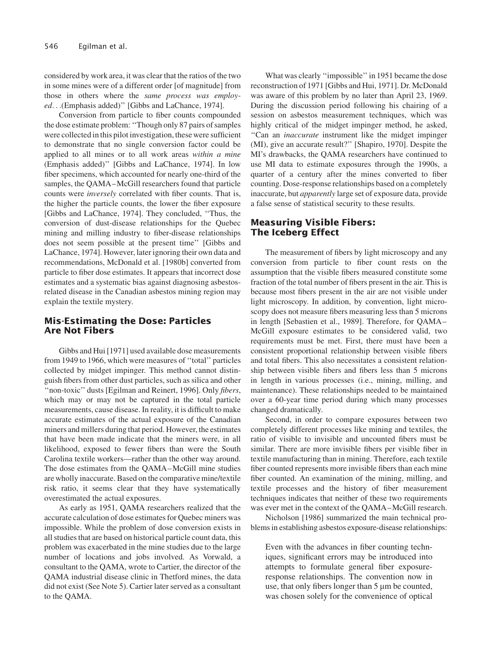considered by work area, it was clear that the ratios of the two in some mines were of a different order [of magnitude] from those in others where the same process was employed...(Emphasis added)'' [Gibbs and LaChance, 1974].

Conversion from particle to fiber counts compounded the dose estimate problem: ''Though only 87 pairs of samples were collected in this pilot investigation, these were sufficient to demonstrate that no single conversion factor could be applied to all mines or to all work areas within a mine (Emphasis added)'' [Gibbs and LaChance, 1974]. In low fiber specimens, which accounted for nearly one-third of the samples, the QAMA–McGill researchers found that particle counts were inversely correlated with fiber counts. That is, the higher the particle counts, the lower the fiber exposure [Gibbs and LaChance, 1974]. They concluded, ''Thus, the conversion of dust-disease relationships for the Quebec mining and milling industry to fiber-disease relationships does not seem possible at the present time'' [Gibbs and LaChance, 1974]. However, later ignoring their own data and recommendations, McDonald et al. [1980b] converted from particle to fiber dose estimates. It appears that incorrect dose estimates and a systematic bias against diagnosing asbestosrelated disease in the Canadian asbestos mining region may explain the textile mystery.

# Mis-Estimating the Dose: Particles Are Not Fibers

Gibbs and Hui [1971] used available dose measurements from 1949 to 1966, which were measures of ''total'' particles collected by midget impinger. This method cannot distinguish fibers from other dust particles, such as silica and other "non-toxic" dusts [Egilman and Reinert, 1996]. Only *fibers*, which may or may not be captured in the total particle measurements, cause disease. In reality, it is difficult to make accurate estimates of the actual exposure of the Canadian miners and millers during that period. However, the estimates that have been made indicate that the miners were, in all likelihood, exposed to fewer fibers than were the South Carolina textile workers—rather than the other way around. The dose estimates from the QAMA–McGill mine studies are wholly inaccurate. Based on the comparative mine/textile risk ratio, it seems clear that they have systematically overestimated the actual exposures.

As early as 1951, QAMA researchers realized that the accurate calculation of dose estimates for Quebec miners was impossible. While the problem of dose conversion exists in all studies that are based on historical particle count data, this problem was exacerbated in the mine studies due to the large number of locations and jobs involved. As Vorwald, a consultant to the QAMA, wrote to Cartier, the director of the QAMA industrial disease clinic in Thetford mines, the data did not exist (See Note 5). Cartier later served as a consultant to the QAMA.

What was clearly ''impossible'' in 1951 became the dose reconstruction of 1971 [Gibbs and Hui, 1971]. Dr. McDonald was aware of this problem by no later than April 23, 1969. During the discussion period following his chairing of a session on asbestos measurement techniques, which was highly critical of the midget impinger method, he asked, ''Can an inaccurate instrument like the midget impinger (MI), give an accurate result?'' [Shapiro, 1970]. Despite the MI's drawbacks, the QAMA researchers have continued to use MI data to estimate exposures through the 1990s, a quarter of a century after the mines converted to fiber counting. Dose-response relationships based on a completely inaccurate, but apparently large set of exposure data, provide a false sense of statistical security to these results.

## Measuring Visible Fibers: The Iceberg Effect

The measurement of fibers by light microscopy and any conversion from particle to fiber count rests on the assumption that the visible fibers measured constitute some fraction of the total number of fibers present in the air. This is because most fibers present in the air are not visible under light microscopy. In addition, by convention, light microscopy does not measure fibers measuring less than 5 microns in length [Sebastien et al., 1989]. Therefore, for QAMA– McGill exposure estimates to be considered valid, two requirements must be met. First, there must have been a consistent proportional relationship between visible fibers and total fibers. This also necessitates a consistent relationship between visible fibers and fibers less than 5 microns in length in various processes (i.e., mining, milling, and maintenance). These relationships needed to be maintained over a 60-year time period during which many processes changed dramatically.

Second, in order to compare exposures between two completely different processes like mining and textiles, the ratio of visible to invisible and uncounted fibers must be similar. There are more invisible fibers per visible fiber in textile manufacturing than in mining. Therefore, each textile fiber counted represents more invisible fibers than each mine fiber counted. An examination of the mining, milling, and textile processes and the history of fiber measurement techniques indicates that neither of these two requirements was ever met in the context of the QAMA–McGill research.

Nicholson [1986] summarized the main technical problems in establishing asbestos exposure-disease relationships:

Even with the advances in fiber counting techniques, significant errors may be introduced into attempts to formulate general fiber exposureresponse relationships. The convention now in use, that only fibers longer than  $5 \mu m$  be counted, was chosen solely for the convenience of optical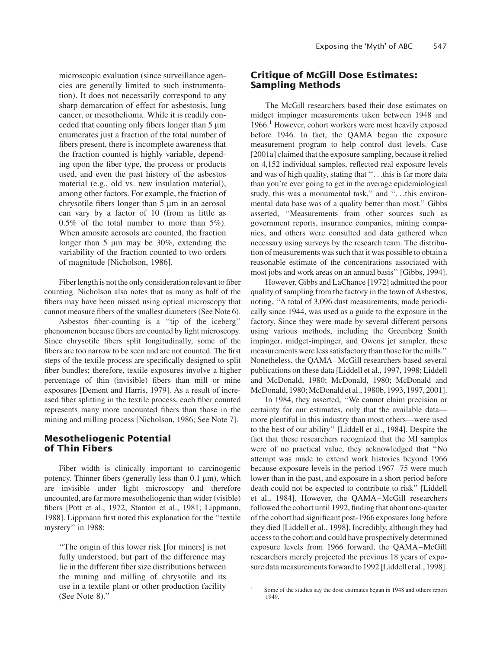microscopic evaluation (since surveillance agencies are generally limited to such instrumentation). It does not necessarily correspond to any sharp demarcation of effect for asbestosis, lung cancer, or mesothelioma. While it is readily conceded that counting only fibers longer than  $5 \mu m$ enumerates just a fraction of the total number of fibers present, there is incomplete awareness that the fraction counted is highly variable, depending upon the fiber type, the process or products used, and even the past history of the asbestos material (e.g., old vs. new insulation material), among other factors. For example, the fraction of chrysotile fibers longer than  $5 \mu m$  in an aerosol can vary by a factor of 10 (from as little as 0.5% of the total number to more than 5%). When amosite aerosols are counted, the fraction longer than  $5 \mu m$  may be  $30\%$ , extending the variability of the fraction counted to two orders of magnitude [Nicholson, 1986].

Fiber length is not the only consideration relevant to fiber counting. Nicholson also notes that as many as half of the fibers may have been missed using optical microscopy that cannot measure fibers of the smallest diameters (See Note 6).

Asbestos fiber-counting is a ''tip of the iceberg'' phenomenon because fibers are counted by light microscopy. Since chrysotile fibers split longitudinally, some of the fibers are too narrow to be seen and are not counted. The first steps of the textile process are specifically designed to split fiber bundles; therefore, textile exposures involve a higher percentage of thin (invisible) fibers than mill or mine exposures [Dement and Harris, 1979]. As a result of increased fiber splitting in the textile process, each fiber counted represents many more uncounted fibers than those in the mining and milling process [Nicholson, 1986; See Note 7].

## Mesotheliogenic Potential of Thin Fibers

Fiber width is clinically important to carcinogenic potency. Thinner fibers (generally less than  $0.1 \mu m$ ), which are invisible under light microscopy and therefore uncounted, are far more mesotheliogenic than wider (visible) fibers [Pott et al., 1972; Stanton et al., 1981; Lippmann, 1988]. Lippmann first noted this explanation for the ''textile mystery" in 1988:

''The origin of this lower risk [for miners] is not fully understood, but part of the difference may lie in the different fiber size distributions between the mining and milling of chrysotile and its use in a textile plant or other production facility (See Note 8).''

## Critique of McGill Dose Estimates: Sampling Methods

The McGill researchers based their dose estimates on midget impinger measurements taken between 1948 and 1966.<sup>1</sup> However, cohort workers were most heavily exposed before 1946. In fact, the QAMA began the exposure measurement program to help control dust levels. Case [2001a] claimed that the exposure sampling, because it relied on 4,152 individual samples, reflected real exposure levels and was of high quality, stating that ''...this is far more data than you're ever going to get in the average epidemiological study, this was a monumental task,'' and ''...this environmental data base was of a quality better than most.'' Gibbs asserted, ''Measurements from other sources such as government reports, insurance companies, mining companies, and others were consulted and data gathered when necessary using surveys by the research team. The distribution of measurements was such that it was possible to obtain a reasonable estimate of the concentrations associated with most jobs and work areas on an annual basis'' [Gibbs, 1994].

However, Gibbs and LaChance [1972] admitted the poor quality of sampling from the factory in the town of Asbestos, noting, ''A total of 3,096 dust measurements, made periodically since 1944, was used as a guide to the exposure in the factory. Since they were made by several different persons using various methods, including the Greenberg Smith impinger, midget-impinger, and Owens jet sampler, these measurements were less satisfactory than those for the mills.'' Nonetheless, the QAMA–McGill researchers based several publications on these data [Liddell et al., 1997, 1998; Liddell and McDonald, 1980; McDonald, 1980; McDonald and McDonald, 1980; McDonald et al., 1980b, 1993, 1997, 2001].

In 1984, they asserted, ''We cannot claim precision or certainty for our estimates, only that the available data more plentiful in this industry than most others—were used to the best of our ability'' [Liddell et al., 1984]. Despite the fact that these researchers recognized that the MI samples were of no practical value, they acknowledged that ''No attempt was made to extend work histories beyond 1966 because exposure levels in the period 1967–75 were much lower than in the past, and exposure in a short period before death could not be expected to contribute to risk'' [Liddell et al., 1984]. However, the QAMA–McGill researchers followed the cohort until 1992, finding that about one-quarter of the cohort had significant post-1966 exposures long before they died [Liddell et al., 1998]. Incredibly, although they had access to the cohort and could have prospectively determined exposure levels from 1966 forward, the QAMA–McGill researchers merely projected the previous 18 years of exposure data measurements forward to 1992 [Liddell et al., 1998].

Some of the studies say the dose estimates began in 1948 and others report 1949.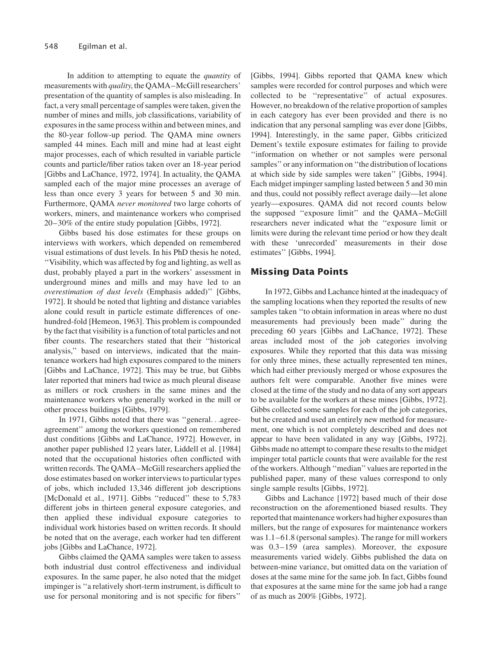In addition to attempting to equate the *quantity* of measurements with quality, the QAMA–McGill researchers' presentation of the quantity of samples is also misleading. In fact, a very small percentage of samples were taken, given the number of mines and mills, job classifications, variability of exposures in the same process within and between mines, and the 80-year follow-up period. The QAMA mine owners sampled 44 mines. Each mill and mine had at least eight major processes, each of which resulted in variable particle counts and particle/fiber ratios taken over an 18-year period [Gibbs and LaChance, 1972, 1974]. In actuality, the QAMA sampled each of the major mine processes an average of less than once every 3 years for between 5 and 30 min. Furthermore, QAMA never monitored two large cohorts of workers, miners, and maintenance workers who comprised 20–30% of the entire study population [Gibbs, 1972].

Gibbs based his dose estimates for these groups on interviews with workers, which depended on remembered visual estimations of dust levels. In his PhD thesis he noted, ''Visibility, which was affected by fog and lighting, as well as dust, probably played a part in the workers' assessment in underground mines and mills and may have led to an overestimation of dust levels (Emphasis added)'' [Gibbs, 1972]. It should be noted that lighting and distance variables alone could result in particle estimate differences of onehundred-fold [Hemeon, 1963]. This problem is compounded by the fact that visibility is a function of total particles and not fiber counts. The researchers stated that their ''historical analysis,'' based on interviews, indicated that the maintenance workers had high exposures compared to the miners [Gibbs and LaChance, 1972]. This may be true, but Gibbs later reported that miners had twice as much pleural disease as millers or rock crushers in the same mines and the maintenance workers who generally worked in the mill or other process buildings [Gibbs, 1979].

In 1971, Gibbs noted that there was ''general...agreeagreement'' among the workers questioned on remembered dust conditions [Gibbs and LaChance, 1972]. However, in another paper published 12 years later, Liddell et al. [1984] noted that the occupational histories often conflicted with written records. The QAMA–McGill researchers applied the dose estimates based on worker interviews to particular types of jobs, which included 13,346 different job descriptions [McDonald et al., 1971]. Gibbs ''reduced'' these to 5,783 different jobs in thirteen general exposure categories, and then applied these individual exposure categories to individual work histories based on written records. It should be noted that on the average, each worker had ten different jobs [Gibbs and LaChance, 1972].

Gibbs claimed the QAMA samples were taken to assess both industrial dust control effectiveness and individual exposures. In the same paper, he also noted that the midget impinger is ''a relatively short-term instrument, is difficult to use for personal monitoring and is not specific for fibers''

[Gibbs, 1994]. Gibbs reported that QAMA knew which samples were recorded for control purposes and which were collected to be ''representative'' of actual exposures. However, no breakdown of the relative proportion of samples in each category has ever been provided and there is no indication that any personal sampling was ever done [Gibbs, 1994]. Interestingly, in the same paper, Gibbs criticized Dement's textile exposure estimates for failing to provide ''information on whether or not samples were personal samples'' or any information on ''the distribution of locations at which side by side samples were taken'' [Gibbs, 1994]. Each midget impinger sampling lasted between 5 and 30 min and thus, could not possibly reflect average daily—let alone yearly—exposures. QAMA did not record counts below the supposed ''exposure limit'' and the QAMA–McGill researchers never indicated what the ''exposure limit or limits were during the relevant time period or how they dealt with these 'unrecorded' measurements in their dose estimates'' [Gibbs, 1994].

#### Missing Data Points

In 1972, Gibbs and Lachance hinted at the inadequacy of the sampling locations when they reported the results of new samples taken ''to obtain information in areas where no dust measurements had previously been made'' during the preceding 60 years [Gibbs and LaChance, 1972]. These areas included most of the job categories involving exposures. While they reported that this data was missing for only three mines, these actually represented ten mines, which had either previously merged or whose exposures the authors felt were comparable. Another five mines were closed at the time of the study and no data of any sort appears to be available for the workers at these mines [Gibbs, 1972]. Gibbs collected some samples for each of the job categories, but he created and used an entirely new method for measurement, one which is not completely described and does not appear to have been validated in any way [Gibbs, 1972]. Gibbs made no attempt to compare these results to the midget impinger total particle counts that were available for the rest of the workers. Although ''median''values are reported in the published paper, many of these values correspond to only single sample results [Gibbs, 1972].

Gibbs and Lachance [1972] based much of their dose reconstruction on the aforementioned biased results. They reported that maintenance workers had higher exposures than millers, but the range of exposures for maintenance workers was 1.1–61.8 (personal samples). The range for mill workers was 0.3–159 (area samples). Moreover, the exposure measurements varied widely. Gibbs published the data on between-mine variance, but omitted data on the variation of doses at the same mine for the same job. In fact, Gibbs found that exposures at the same mine for the same job had a range of as much as 200% [Gibbs, 1972].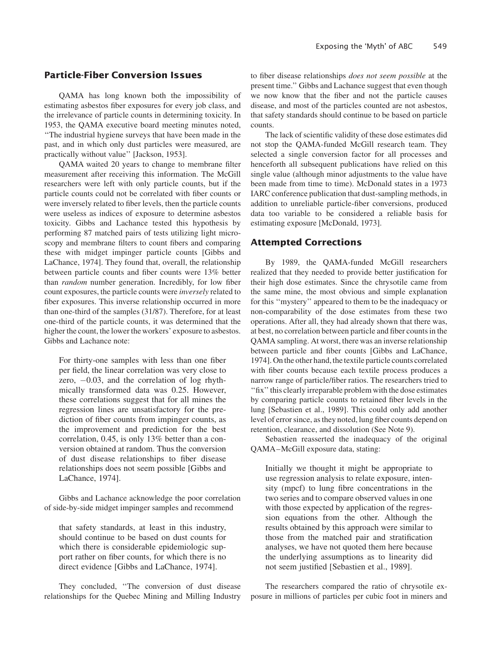# Particle-Fiber Conversion Issues

QAMA has long known both the impossibility of estimating asbestos fiber exposures for every job class, and the irrelevance of particle counts in determining toxicity. In 1953, the QAMA executive board meeting minutes noted, ''The industrial hygiene surveys that have been made in the past, and in which only dust particles were measured, are practically without value'' [Jackson, 1953].

QAMA waited 20 years to change to membrane filter measurement after receiving this information. The McGill researchers were left with only particle counts, but if the particle counts could not be correlated with fiber counts or were inversely related to fiber levels, then the particle counts were useless as indices of exposure to determine asbestos toxicity. Gibbs and Lachance tested this hypothesis by performing 87 matched pairs of tests utilizing light microscopy and membrane filters to count fibers and comparing these with midget impinger particle counts [Gibbs and LaChance, 1974]. They found that, overall, the relationship between particle counts and fiber counts were 13% better than random number generation. Incredibly, for low fiber count exposures, the particle counts were inversely related to fiber exposures. This inverse relationship occurred in more than one-third of the samples (31/87). Therefore, for at least one-third of the particle counts, it was determined that the higher the count, the lower the workers' exposure to asbestos. Gibbs and Lachance note:

For thirty-one samples with less than one fiber per field, the linear correlation was very close to zero, -0.03, and the correlation of log rhythmically transformed data was 0.25. However, these correlations suggest that for all mines the regression lines are unsatisfactory for the prediction of fiber counts from impinger counts, as the improvement and prediction for the best correlation, 0.45, is only 13% better than a conversion obtained at random. Thus the conversion of dust disease relationships to fiber disease relationships does not seem possible [Gibbs and LaChance, 1974].

Gibbs and Lachance acknowledge the poor correlation of side-by-side midget impinger samples and recommend

that safety standards, at least in this industry, should continue to be based on dust counts for which there is considerable epidemiologic support rather on fiber counts, for which there is no direct evidence [Gibbs and LaChance, 1974].

They concluded, ''The conversion of dust disease relationships for the Quebec Mining and Milling Industry

to fiber disease relationships does not seem possible at the present time.'' Gibbs and Lachance suggest that even though we now know that the fiber and not the particle causes disease, and most of the particles counted are not asbestos, that safety standards should continue to be based on particle counts.

The lack of scientific validity of these dose estimates did not stop the QAMA-funded McGill research team. They selected a single conversion factor for all processes and henceforth all subsequent publications have relied on this single value (although minor adjustments to the value have been made from time to time). McDonald states in a 1973 IARC conference publication that dust-sampling methods, in addition to unreliable particle-fiber conversions, produced data too variable to be considered a reliable basis for estimating exposure [McDonald, 1973].

#### Attempted Corrections

By 1989, the QAMA-funded McGill researchers realized that they needed to provide better justification for their high dose estimates. Since the chrysotile came from the same mine, the most obvious and simple explanation for this ''mystery'' appeared to them to be the inadequacy or non-comparability of the dose estimates from these two operations. After all, they had already shown that there was, at best, no correlation between particle and fiber counts in the QAMA sampling. At worst, there was an inverse relationship between particle and fiber counts [Gibbs and LaChance, 1974]. On the other hand, the textile particle counts correlated with fiber counts because each textile process produces a narrow range of particle/fiber ratios. The researchers tried to ''fix'' this clearly irreparable problem with the dose estimates by comparing particle counts to retained fiber levels in the lung [Sebastien et al., 1989]. This could only add another level of error since, as they noted, lung fiber counts depend on retention, clearance, and dissolution (See Note 9).

Sebastien reasserted the inadequacy of the original QAMA–McGill exposure data, stating:

Initially we thought it might be appropriate to use regression analysis to relate exposure, intensity (mpcf) to lung fibre concentrations in the two series and to compare observed values in one with those expected by application of the regression equations from the other. Although the results obtained by this approach were similar to those from the matched pair and stratification analyses, we have not quoted them here because the underlying assumptions as to linearity did not seem justified [Sebastien et al., 1989].

The researchers compared the ratio of chrysotile exposure in millions of particles per cubic foot in miners and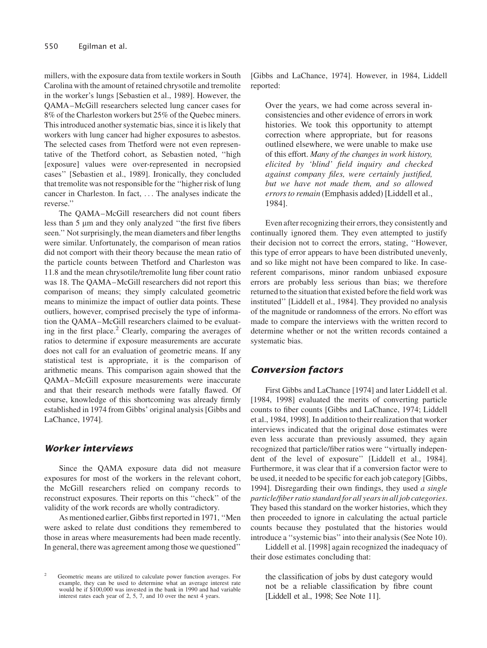millers, with the exposure data from textile workers in South Carolina with the amount of retained chrysotile and tremolite in the worker's lungs [Sebastien et al., 1989]. However, the QAMA–McGill researchers selected lung cancer cases for 8% of the Charleston workers but 25% of the Quebec miners. This introduced another systematic bias, since it is likely that workers with lung cancer had higher exposures to asbestos. The selected cases from Thetford were not even representative of the Thetford cohort, as Sebastien noted, ''high [exposure] values were over-represented in necropsied cases'' [Sebastien et al., 1989]. Ironically, they concluded that tremolite was not responsible for the ''higher risk of lung cancer in Charleston. In fact, ... The analyses indicate the reverse.''

The QAMA–McGill researchers did not count fibers less than 5 µm and they only analyzed "the first five fibers seen.'' Not surprisingly, the mean diameters and fiber lengths were similar. Unfortunately, the comparison of mean ratios did not comport with their theory because the mean ratio of the particle counts between Thetford and Charleston was 11.8 and the mean chrysotile/tremolite lung fiber count ratio was 18. The QAMA–McGill researchers did not report this comparison of means; they simply calculated geometric means to minimize the impact of outlier data points. These outliers, however, comprised precisely the type of information the QAMA–McGill researchers claimed to be evaluating in the first place. $<sup>2</sup>$  Clearly, comparing the averages of</sup> ratios to determine if exposure measurements are accurate does not call for an evaluation of geometric means. If any statistical test is appropriate, it is the comparison of arithmetic means. This comparison again showed that the QAMA–McGill exposure measurements were inaccurate and that their research methods were fatally flawed. Of course, knowledge of this shortcoming was already firmly established in 1974 from Gibbs' original analysis [Gibbs and LaChance, 1974].

## Worker interviews

Since the QAMA exposure data did not measure exposures for most of the workers in the relevant cohort, the McGill researchers relied on company records to reconstruct exposures. Their reports on this ''check'' of the validity of the work records are wholly contradictory.

As mentioned earlier, Gibbs first reported in 1971, ''Men were asked to relate dust conditions they remembered to those in areas where measurements had been made recently. In general, there was agreement among those we questioned''

[Gibbs and LaChance, 1974]. However, in 1984, Liddell reported:

Over the years, we had come across several inconsistencies and other evidence of errors in work histories. We took this opportunity to attempt correction where appropriate, but for reasons outlined elsewhere, we were unable to make use of this effort. Many of the changes in work history, elicited by 'blind' field inquiry and checked against company files, were certainly justified, but we have not made them, and so allowed errors to remain (Emphasis added) [Liddell et al., 1984].

Even after recognizing their errors, they consistently and continually ignored them. They even attempted to justify their decision not to correct the errors, stating, ''However, this type of error appears to have been distributed unevenly, and so like might not have been compared to like. In casereferent comparisons, minor random unbiased exposure errors are probably less serious than bias; we therefore returned to the situation that existed before the field work was instituted'' [Liddell et al., 1984]. They provided no analysis of the magnitude or randomness of the errors. No effort was made to compare the interviews with the written record to determine whether or not the written records contained a systematic bias.

# Conversion factors

First Gibbs and LaChance [1974] and later Liddell et al. [1984, 1998] evaluated the merits of converting particle counts to fiber counts [Gibbs and LaChance, 1974; Liddell et al., 1984, 1998]. In addition to their realization that worker interviews indicated that the original dose estimates were even less accurate than previously assumed, they again recognized that particle/fiber ratios were ''virtually independent of the level of exposure'' [Liddell et al., 1984]. Furthermore, it was clear that if a conversion factor were to be used, it needed to be specific for each job category [Gibbs, 1994]. Disregarding their own findings, they used *a single* particle/fiber ratio standard for all years in all job categories. They based this standard on the worker histories, which they then proceeded to ignore in calculating the actual particle counts because they postulated that the histories would introduce a ''systemic bias'' into their analysis (See Note 10).

Liddell et al. [1998] again recognized the inadequacy of their dose estimates concluding that:

the classification of jobs by dust category would not be a reliable classification by fibre count [Liddell et al., 1998; See Note 11].

<sup>2</sup> Geometric means are utilized to calculate power function averages. For example, they can be used to determine what an average interest rate would be if \$100,000 was invested in the bank in 1990 and had variable interest rates each year of 2, 5, 7, and 10 over the next 4 years.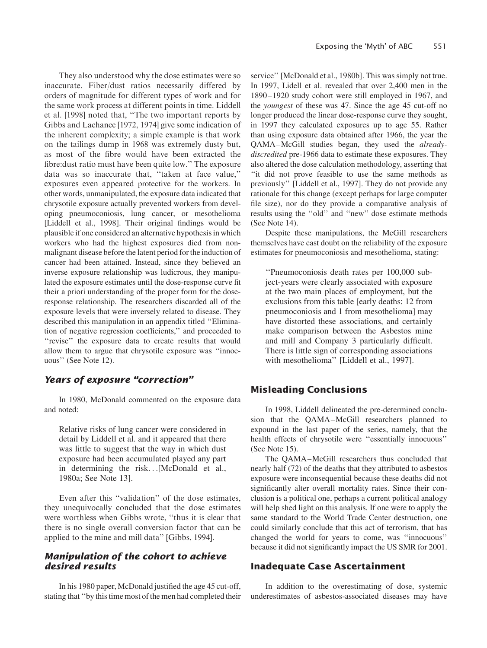They also understood why the dose estimates were so inaccurate. Fiber/dust ratios necessarily differed by orders of magnitude for different types of work and for the same work process at different points in time. Liddell et al. [1998] noted that, ''The two important reports by Gibbs and Lachance [1972, 1974] give some indication of the inherent complexity; a simple example is that work on the tailings dump in 1968 was extremely dusty but, as most of the fibre would have been extracted the fibre:dust ratio must have been quite low.'' The exposure data was so inaccurate that, ''taken at face value,'' exposures even appeared protective for the workers. In other words, unmanipulated, the exposure data indicated that chrysotile exposure actually prevented workers from developing pneumoconiosis, lung cancer, or mesothelioma [Liddell et al., 1998]. Their original findings would be plausible if one considered an alternative hypothesis in which workers who had the highest exposures died from nonmalignant disease before the latent period for the induction of cancer had been attained. Instead, since they believed an inverse exposure relationship was ludicrous, they manipulated the exposure estimates until the dose-response curve fit their a priori understanding of the proper form for the doseresponse relationship. The researchers discarded all of the exposure levels that were inversely related to disease. They described this manipulation in an appendix titled ''Elimination of negative regression coefficients,'' and proceeded to "revise" the exposure data to create results that would allow them to argue that chrysotile exposure was ''innocuous'' (See Note 12).

# Years of exposure ''correction''

In 1980, McDonald commented on the exposure data and noted:

Relative risks of lung cancer were considered in detail by Liddell et al. and it appeared that there was little to suggest that the way in which dust exposure had been accumulated played any part in determining the risk...[McDonald et al., 1980a; See Note 13].

Even after this ''validation'' of the dose estimates, they unequivocally concluded that the dose estimates were worthless when Gibbs wrote, ''thus it is clear that there is no single overall conversion factor that can be applied to the mine and mill data'' [Gibbs, 1994].

# Manipulation of the cohort to achieve desired results

In his 1980 paper, McDonald justified the age 45 cut-off, stating that ''by this time most of the men had completed their

service'' [McDonald et al., 1980b]. This was simply not true. In 1997, Lidell et al. revealed that over 2,400 men in the 1890–1920 study cohort were still employed in 1967, and the youngest of these was 47. Since the age 45 cut-off no longer produced the linear dose-response curve they sought, in 1997 they calculated exposures up to age 55. Rather than using exposure data obtained after 1966, the year the QAMA–McGill studies began, they used the alreadydiscredited pre-1966 data to estimate these exposures. They also altered the dose calculation methodology, asserting that ''it did not prove feasible to use the same methods as previously'' [Liddell et al., 1997]. They do not provide any rationale for this change (except perhaps for large computer file size), nor do they provide a comparative analysis of results using the ''old'' and ''new'' dose estimate methods (See Note 14).

Despite these manipulations, the McGill researchers themselves have cast doubt on the reliability of the exposure estimates for pneumoconiosis and mesothelioma, stating:

''Pneumoconiosis death rates per 100,000 subject-years were clearly associated with exposure at the two main places of employment, but the exclusions from this table [early deaths: 12 from pneumoconiosis and 1 from mesothelioma] may have distorted these associations, and certainly make comparison between the Asbestos mine and mill and Company 3 particularly difficult. There is little sign of corresponding associations with mesothelioma'' [Liddell et al., 1997].

# Misleading Conclusions

In 1998, Liddell delineated the pre-determined conclusion that the QAMA–McGill researchers planned to expound in the last paper of the series, namely, that the health effects of chrysotile were ''essentially innocuous'' (See Note 15).

The QAMA–McGill researchers thus concluded that nearly half (72) of the deaths that they attributed to asbestos exposure were inconsequential because these deaths did not significantly alter overall mortality rates. Since their conclusion is a political one, perhaps a current political analogy will help shed light on this analysis. If one were to apply the same standard to the World Trade Center destruction, one could similarly conclude that this act of terrorism, that has changed the world for years to come, was ''innocuous'' because it did not significantly impact the US SMR for 2001.

## Inadequate Case Ascertainment

In addition to the overestimating of dose, systemic underestimates of asbestos-associated diseases may have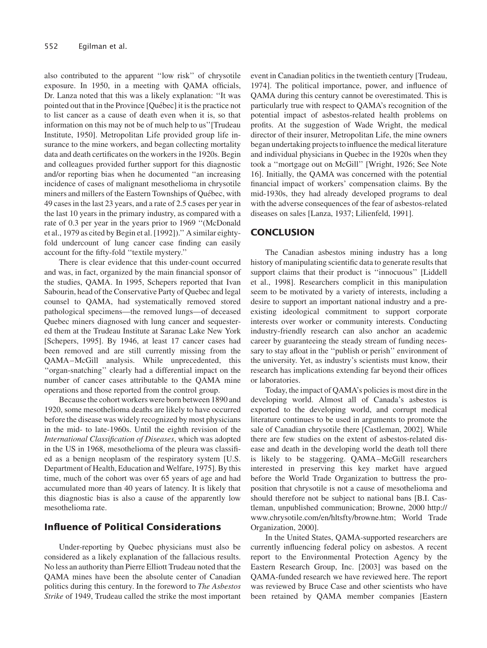also contributed to the apparent ''low risk'' of chrysotile exposure. In 1950, in a meeting with QAMA officials, Dr. Lanza noted that this was a likely explanation: ''It was pointed out that in the Province [Québec] it is the practice not to list cancer as a cause of death even when it is, so that information on this may not be of much help to us''[Trudeau Institute, 1950]. Metropolitan Life provided group life insurance to the mine workers, and began collecting mortality data and death certificates on the workers in the 1920s. Begin and colleagues provided further support for this diagnostic and/or reporting bias when he documented ''an increasing incidence of cases of malignant mesothelioma in chrysotile miners and millers of the Eastern Townships of Québec, with 49 cases in the last 23 years, and a rate of 2.5 cases per year in the last 10 years in the primary industry, as compared with a rate of 0.3 per year in the years prior to 1969 ''(McDonald et al., 1979 as cited by Begin et al. [1992]).'' A similar eightyfold undercount of lung cancer case finding can easily account for the fifty-fold ''textile mystery.''

There is clear evidence that this under-count occurred and was, in fact, organized by the main financial sponsor of the studies, QAMA. In 1995, Schepers reported that Ivan Sabourin, head of the Conservative Party of Quebec and legal counsel to QAMA, had systematically removed stored pathological specimens—the removed lungs—of deceased Quebec miners diagnosed with lung cancer and sequestered them at the Trudeau Institute at Saranac Lake New York [Schepers, 1995]. By 1946, at least 17 cancer cases had been removed and are still currently missing from the QAMA–McGill analysis. While unprecedented, this ''organ-snatching'' clearly had a differential impact on the number of cancer cases attributable to the QAMA mine operations and those reported from the control group.

Because the cohort workers were born between 1890 and 1920, some mesothelioma deaths are likely to have occurred before the disease was widely recognized by most physicians in the mid- to late-1960s. Until the eighth revision of the International Classification of Diseases, which was adopted in the US in 1968, mesothelioma of the pleura was classified as a benign neoplasm of the respiratory system [U.S. Department of Health, Education and Welfare, 1975]. By this time, much of the cohort was over 65 years of age and had accumulated more than 40 years of latency. It is likely that this diagnostic bias is also a cause of the apparently low mesothelioma rate.

## Influence of Political Considerations

Under-reporting by Quebec physicians must also be considered as a likely explanation of the fallacious results. No less an authority than Pierre Elliott Trudeau noted that the QAMA mines have been the absolute center of Canadian politics during this century. In the foreword to The Asbestos Strike of 1949, Trudeau called the strike the most important event in Canadian politics in the twentieth century [Trudeau, 1974]. The political importance, power, and influence of QAMA during this century cannot be overestimated. This is particularly true with respect to QAMA's recognition of the potential impact of asbestos-related health problems on profits. At the suggestion of Wade Wright, the medical director of their insurer, Metropolitan Life, the mine owners began undertaking projects to influence the medical literature and individual physicians in Quebec in the 1920s when they took a ''mortgage out on McGill'' [Wright, 1926; See Note 16]. Initially, the QAMA was concerned with the potential financial impact of workers' compensation claims. By the mid-1930s, they had already developed programs to deal with the adverse consequences of the fear of asbestos-related diseases on sales [Lanza, 1937; Lilienfeld, 1991].

## **CONCLUSION**

The Canadian asbestos mining industry has a long history of manipulating scientific data to generate results that support claims that their product is ''innocuous'' [Liddell et al., 1998]. Researchers complicit in this manipulation seem to be motivated by a variety of interests, including a desire to support an important national industry and a preexisting ideological commitment to support corporate interests over worker or community interests. Conducting industry-friendly research can also anchor an academic career by guaranteeing the steady stream of funding necessary to stay afloat in the ''publish or perish'' environment of the university. Yet, as industry's scientists must know, their research has implications extending far beyond their offices or laboratories.

Today, the impact of QAMA's policies is most dire in the developing world. Almost all of Canada's asbestos is exported to the developing world, and corrupt medical literature continues to be used in arguments to promote the sale of Canadian chrysotile there [Castleman, 2002]. While there are few studies on the extent of asbestos-related disease and death in the developing world the death toll there is likely to be staggering. QAMA–McGill researchers interested in preserving this key market have argued before the World Trade Organization to buttress the proposition that chrysotile is not a cause of mesothelioma and should therefore not be subject to national bans [B.I. Castleman, unpublished communication; Browne, 2000 http:// www.chrysotile.com/en/hltsfty/browne.htm; World Trade Organization, 2000].

In the United States, QAMA-supported researchers are currently influencing federal policy on asbestos. A recent report to the Environmental Protection Agency by the Eastern Research Group, Inc. [2003] was based on the QAMA-funded research we have reviewed here. The report was reviewed by Bruce Case and other scientists who have been retained by QAMA member companies [Eastern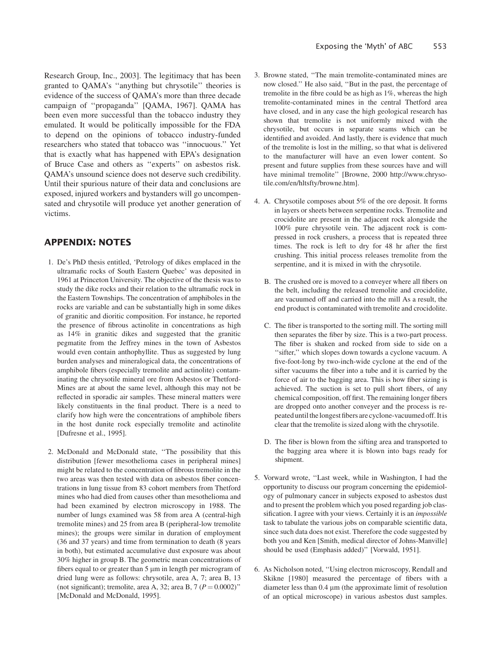Research Group, Inc., 2003]. The legitimacy that has been granted to QAMA's ''anything but chrysotile'' theories is evidence of the success of QAMA's more than three decade campaign of ''propaganda'' [QAMA, 1967]. QAMA has been even more successful than the tobacco industry they emulated. It would be politically impossible for the FDA to depend on the opinions of tobacco industry-funded researchers who stated that tobacco was ''innocuous.'' Yet that is exactly what has happened with EPA's designation of Bruce Case and others as ''experts'' on asbestos risk. QAMA's unsound science does not deserve such credibility. Until their spurious nature of their data and conclusions are exposed, injured workers and bystanders will go uncompensated and chrysotile will produce yet another generation of victims.

# APPENDIX: NOTES

- 1. De's PhD thesis entitled, 'Petrology of dikes emplaced in the ultramafic rocks of South Eastern Quebec' was deposited in 1961 at Princeton University. The objective of the thesis was to study the dike rocks and their relation to the ultramafic rock in the Eastern Townships. The concentration of amphiboles in the rocks are variable and can be substantially high in some dikes of granitic and dioritic composition. For instance, he reported the presence of fibrous actinolite in concentrations as high as 14% in granitic dikes and suggested that the granitic pegmatite from the Jeffrey mines in the town of Asbestos would even contain anthophyllite. Thus as suggested by lung burden analyses and mineralogical data, the concentrations of amphibole fibers (especially tremolite and actinolite) contaminating the chrysotile mineral ore from Asbestos or Thetford-Mines are at about the same level, although this may not be reflected in sporadic air samples. These mineral matters were likely constituents in the final product. There is a need to clarify how high were the concentrations of amphibole fibers in the host dunite rock especially tremolite and actinolite [Dufresne et al., 1995].
- 2. McDonald and McDonald state, ''The possibility that this distribution [fewer mesothelioma cases in peripheral mines] might be related to the concentration of fibrous tremolite in the two areas was then tested with data on asbestos fiber concentrations in lung tissue from 83 cohort members from Thetford mines who had died from causes other than mesothelioma and had been examined by electron microscopy in 1988. The number of lungs examined was 58 from area A (central-high tremolite mines) and 25 from area B (peripheral-low tremolite mines); the groups were similar in duration of employment (36 and 37 years) and time from termination to death (8 years in both), but estimated accumulative dust exposure was about 30% higher in group B. The geometric mean concentrations of fibers equal to or greater than  $5 \mu m$  in length per microgram of dried lung were as follows: chrysotile, area A, 7; area B, 13 (not significant); tremolite, area A, 32; area B,  $7 (P = 0.0002)$ " [McDonald and McDonald, 1995].
- 3. Browne stated, ''The main tremolite-contaminated mines are now closed.'' He also said, ''But in the past, the percentage of tremolite in the fibre could be as high as 1%, whereas the high tremolite-contaminated mines in the central Thetford area have closed, and in any case the high geological research has shown that tremolite is not uniformly mixed with the chrysotile, but occurs in separate seams which can be identified and avoided. And lastly, there is evidence that much of the tremolite is lost in the milling, so that what is delivered to the manufacturer will have an even lower content. So present and future supplies from these sources have and will have minimal tremolite'' [Browne, 2000 http://www.chrysotile.com/en/hltsfty/browne.htm].
- 4. A. Chrysotile composes about 5% of the ore deposit. It forms in layers or sheets between serpentine rocks. Tremolite and crocidolite are present in the adjacent rock alongside the 100% pure chrysotile vein. The adjacent rock is compressed in rock crushers, a process that is repeated three times. The rock is left to dry for 48 hr after the first crushing. This initial process releases tremolite from the serpentine, and it is mixed in with the chrysotile.
	- B. The crushed ore is moved to a conveyer where all fibers on the belt, including the released tremolite and crocidolite, are vacuumed off and carried into the mill As a result, the end product is contaminated with tremolite and crocidolite.
	- C. The fiber is transported to the sorting mill. The sorting mill then separates the fiber by size. This is a two-part process. The fiber is shaken and rocked from side to side on a "sifter," which slopes down towards a cyclone vacuum. A five-foot-long by two-inch-wide cyclone at the end of the sifter vacuums the fiber into a tube and it is carried by the force of air to the bagging area. This is how fiber sizing is achieved. The suction is set to pull short fibers, of any chemical composition, off first. The remaining longer fibers are dropped onto another conveyer and the process is repeated until the longest fibers are cyclone-vacuumed off. It is clear that the tremolite is sized along with the chrysotile.
	- D. The fiber is blown from the sifting area and transported to the bagging area where it is blown into bags ready for shipment.
- 5. Vorward wrote, ''Last week, while in Washington, I had the opportunity to discuss our program concerning the epidemiology of pulmonary cancer in subjects exposed to asbestos dust and to present the problem which you posed regarding job classification. I agree with your views. Certainly it is an impossible task to tabulate the various jobs on comparable scientific data, since such data does not exist. Therefore the code suggested by both you and Ken [Smith, medical director of Johns-Manville] should be used (Emphasis added)'' [Vorwald, 1951].
- 6. As Nicholson noted, ''Using electron microscopy, Rendall and Skikne [1980] measured the percentage of fibers with a diameter less than  $0.4 \mu m$  (the approximate limit of resolution of an optical microscope) in various asbestos dust samples.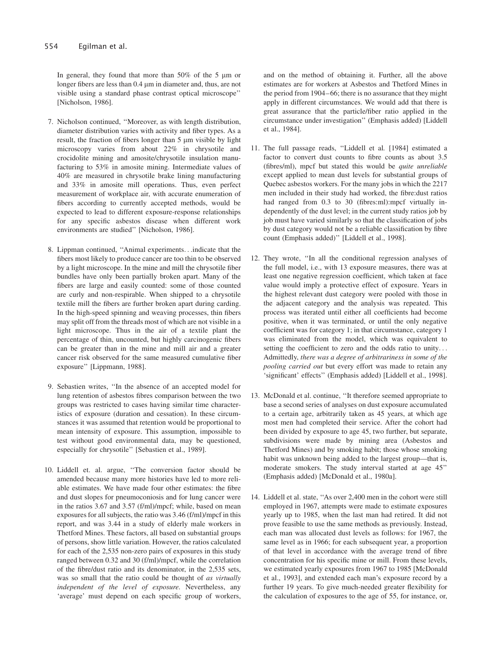In general, they found that more than  $50\%$  of the 5  $\mu$ m or longer fibers are less than  $0.4 \mu m$  in diameter and, thus, are not visible using a standard phase contrast optical microscope'' [Nicholson, 1986].

- 7. Nicholson continued, ''Moreover, as with length distribution, diameter distribution varies with activity and fiber types. As a result, the fraction of fibers longer than  $5 \mu m$  visible by light microscopy varies from about 22% in chrysotile and crocidolite mining and amosite/chrysotile insulation manufacturing to 53% in amosite mining. Intermediate values of 40% are measured in chrysotile brake lining manufacturing and 33% in amosite mill operations. Thus, even perfect measurement of workplace air, with accurate enumeration of fibers according to currently accepted methods, would be expected to lead to different exposure-response relationships for any specific asbestos disease when different work environments are studied'' [Nicholson, 1986].
- 8. Lippman continued, ''Animal experiments...indicate that the fibers most likely to produce cancer are too thin to be observed by a light microscope. In the mine and mill the chrysotile fiber bundles have only been partially broken apart. Many of the fibers are large and easily counted: some of those counted are curly and non-respirable. When shipped to a chrysotile textile mill the fibers are further broken apart during carding. In the high-speed spinning and weaving processes, thin fibers may split off from the threads most of which are not visible in a light microscope. Thus in the air of a textile plant the percentage of thin, uncounted, but highly carcinogenic fibers can be greater than in the mine and mill air and a greater cancer risk observed for the same measured cumulative fiber exposure'' [Lippmann, 1988].
- 9. Sebastien writes, ''In the absence of an accepted model for lung retention of asbestos fibres comparison between the two groups was restricted to cases having similar time characteristics of exposure (duration and cessation). In these circumstances it was assumed that retention would be proportional to mean intensity of exposure. This assumption, impossible to test without good environmental data, may be questioned, especially for chrysotile'' [Sebastien et al., 1989].
- 10. Liddell et. al. argue, ''The conversion factor should be amended because many more histories have led to more reliable estimates. We have made four other estimates: the fibre and dust slopes for pneumoconiosis and for lung cancer were in the ratios 3.67 and 3.57 (f/ml)/mpcf; while, based on mean exposures for all subjects, the ratio was 3.46 (f/ml)/mpcf in this report, and was 3.44 in a study of elderly male workers in Thetford Mines. These factors, all based on substantial groups of persons, show little variation. However, the ratios calculated for each of the 2,535 non-zero pairs of exposures in this study ranged between 0.32 and 30 (f/ml)/mpcf, while the correlation of the fibre/dust ratio and its denominator, in the 2,535 sets, was so small that the ratio could be thought of as virtually independent of the level of exposure. Nevertheless, any 'average' must depend on each specific group of workers,

and on the method of obtaining it. Further, all the above estimates are for workers at Asbestos and Thetford Mines in the period from 1904–66; there is no assurance that they might apply in different circumstances. We would add that there is great assurance that the particle/fiber ratio applied in the circumstance under investigation'' (Emphasis added) [Liddell et al., 1984].

- 11. The full passage reads, ''Liddell et al. [1984] estimated a factor to convert dust counts to fibre counts as about 3.5 (fibres/ml), mpcf but stated this would be quite unreliable except applied to mean dust levels for substantial groups of Quebec asbestos workers. For the many jobs in which the 2217 men included in their study had worked, the fibre:dust ratios had ranged from 0.3 to 30 (fibres:ml):mpcf virtually independently of the dust level; in the current study ratios job by job must have varied similarly so that the classification of jobs by dust category would not be a reliable classification by fibre count (Emphasis added)'' [Liddell et al., 1998].
- 12. They wrote, ''In all the conditional regression analyses of the full model, i.e., with 13 exposure measures, there was at least one negative regression coefficient, which taken at face value would imply a protective effect of exposure. Years in the highest relevant dust category were pooled with those in the adjacent category and the analysis was repeated. This process was iterated until either all coefficients had become positive, when it was terminated, or until the only negative coefficient was for category 1; in that circumstance, category 1 was eliminated from the model, which was equivalent to setting the coefficient to zero and the odds ratio to unity... Admittedly, there was a degree of arbitrariness in some of the pooling carried out but every effort was made to retain any 'significant' effects'' (Emphasis added) [Liddell et al., 1998].
- 13. McDonald et al. continue, ''It therefore seemed appropriate to base a second series of analyses on dust exposure accumulated to a certain age, arbitrarily taken as 45 years, at which age most men had completed their service. After the cohort had been divided by exposure to age 45, two further, but separate, subdivisions were made by mining area (Asbestos and Thetford Mines) and by smoking habit; those whose smoking habit was unknown being added to the largest group—that is, moderate smokers. The study interval started at age 45'' (Emphasis added) [McDonald et al., 1980a].
- 14. Liddell et al. state, ''As over 2,400 men in the cohort were still employed in 1967, attempts were made to estimate exposures yearly up to 1985, when the last man had retired. It did not prove feasible to use the same methods as previously. Instead, each man was allocated dust levels as follows: for 1967, the same level as in 1966; for each subsequent year, a proportion of that level in accordance with the average trend of fibre concentration for his specific mine or mill. From these levels, we estimated yearly exposures from 1967 to 1985 [McDonald et al., 1993], and extended each man's exposure record by a further 19 years. To give much-needed greater flexibility for the calculation of exposures to the age of 55, for instance, or,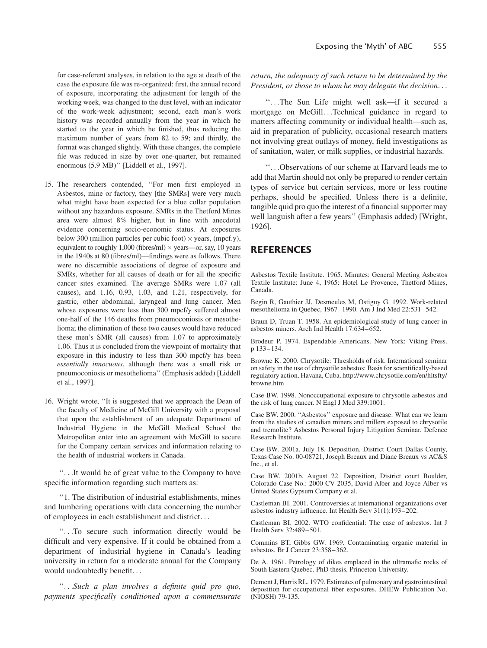for case-referent analyses, in relation to the age at death of the case the exposure file was re-organized: first, the annual record of exposure, incorporating the adjustment for length of the working week, was changed to the dust level, with an indicator of the work-week adjustment; second, each man's work history was recorded annually from the year in which he started to the year in which he finished, thus reducing the maximum number of years from 82 to 59; and thirdly, the format was changed slightly. With these changes, the complete file was reduced in size by over one-quarter, but remained enormous (5.9 MB)'' [Liddell et al., 1997].

- 15. The researchers contended, ''For men first employed in Asbestos, mine or factory, they [the SMRs] were very much what might have been expected for a blue collar population without any hazardous exposure. SMRs in the Thetford Mines area were almost 8% higher, but in line with anecdotal evidence concerning socio-economic status. At exposures below 300 (million particles per cubic foot)  $\times$  years, (mpcf.y), equivalent to roughly 1,000 (fibres/ml)  $\times$  years—or, say, 10 years in the 1940s at 80 (fibres/ml)—findings were as follows. There were no discernible associations of degree of exposure and SMRs, whether for all causes of death or for all the specific cancer sites examined. The average SMRs were 1.07 (all causes), and 1.16, 0.93, 1.03, and 1.21, respectively, for gastric, other abdominal, laryngeal and lung cancer. Men whose exposures were less than 300 mpcf/y suffered almost one-half of the 146 deaths from pneumoconiosis or mesothelioma; the elimination of these two causes would have reduced these men's SMR (all causes) from 1.07 to approximately 1.06. Thus it is concluded from the viewpoint of mortality that exposure in this industry to less than 300 mpcf/y has been essentially innocuous, although there was a small risk or pneumoconiosis or mesothelioma'' (Emphasis added) [Liddell et al., 1997].
- 16. Wright wrote, ''It is suggested that we approach the Dean of the faculty of Medicine of McGill University with a proposal that upon the establishment of an adequate Department of Industrial Hygiene in the McGill Medical School the Metropolitan enter into an agreement with McGill to secure for the Company certain services and information relating to the health of industrial workers in Canada.

''...It would be of great value to the Company to have specific information regarding such matters as:

''1. The distribution of industrial establishments, mines and lumbering operations with data concerning the number of employees in each establishment and district...

''...To secure such information directly would be difficult and very expensive. If it could be obtained from a department of industrial hygiene in Canada's leading university in return for a moderate annual for the Company would undoubtedly benefit...

''...Such a plan involves a definite quid pro quo, payments specifically conditioned upon a commensurate return, the adequacy of such return to be determined by the President, or those to whom he may delegate the decision...

''...The Sun Life might well ask—if it secured a mortgage on McGill...Technical guidance in regard to matters affecting community or individual health—such as, aid in preparation of publicity, occasional research matters not involving great outlays of money, field investigations as of sanitation, water, or milk supplies, or industrial hazards.

''...Observations of our scheme at Harvard leads me to add that Martin should not only be prepared to render certain types of service but certain services, more or less routine perhaps, should be specified. Unless there is a definite, tangible quid pro quo the interest of a financial supporter may well languish after a few years'' (Emphasis added) [Wright, 1926].

## **REFERENCES**

Asbestos Textile Institute. 1965. Minutes: General Meeting Asbestos Textile Institute: June 4, 1965: Hotel Le Provence, Thetford Mines, Canada.

Begin R, Gauthier JJ, Desmeules M, Ostiguy G. 1992. Work-related mesothelioma in Quebec, 1967–1990. Am J Ind Med 22:531–542.

Braun D, Truan T. 1958. An epidemiological study of lung cancer in asbestos miners. Arch Ind Health 17:634–652.

Brodeur P. 1974. Expendable Americans. New York: Viking Press. p 133–134.

Browne K. 2000. Chrysotile: Thresholds of risk. International seminar on safety in the use of chrysotile asbestos: Basis for scientifically-based regulatory action. Havana, Cuba. http://www.chrysotile.com/en/hltsfty/ browne.htm

Case BW. 1998. Nonoccupational exposure to chrysotile asbestos and the risk of lung cancer. N Engl J Med 339:1001.

Case BW. 2000. ''Asbestos'' exposure and disease: What can we learn from the studies of canadian miners and millers exposed to chrysotile and tremolite? Asbestos Personal Injury Litigation Seminar. Defence Research Institute.

Case BW. 2001a. July 18. Deposition. District Court Dallas County, Texas Case No. 00-08721, Joseph Breaux and Diane Breaux vs AC&S Inc., et al.

Case BW. 2001b. August 22. Deposition, District court Boulder, Colorado Case No.: 2000 CV 2035, David Alber and Joyce Alber vs United States Gypsum Company et al.

Castleman BI. 2001. Controversies at international organizations over asbestos industry influence. Int Health Serv 31(1):193–202.

Castleman BI. 2002. WTO confidential: The case of asbestos. Int J Health Serv 32:489–501.

Commins BT, Gibbs GW. 1969. Contaminating organic material in asbestos. Br J Cancer 23:358–362.

De A. 1961. Petrology of dikes emplaced in the ultramafic rocks of South Eastern Quebec. PhD thesis, Princeton University.

Dement J, Harris RL. 1979. Estimates of pulmonary and gastrointestinal deposition for occupational fiber exposures. DHEW Publication No. (NIOSH) 79-135.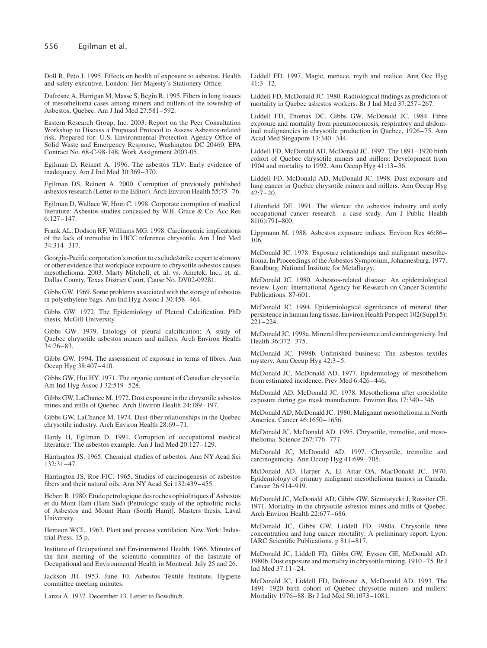Doll R, Peto J. 1995. Effects on health of exposure to asbestos. Health and safety executive. London: Her Majesty's Stationery Office.

Dufresne A, Harrigan M, Masse S, Begin R. 1995. Fibers in lung tissues of mesothelioma cases among miners and millers of the township of Asbestos, Quebec. Am J Ind Med 27:581–592.

Eastern Research Group, Inc. 2003. Report on the Peer Consultation Workshop to Discuss a Proposed Protocol to Assess Asbestos-related risk. Prepared for: U.S. Environmental Protection Agency Office of Solid Waste and Emergency Response, Washington DC 20460. EPA Contract No. 68-C-98-148, Work Assignment 2003-05.

Egilman D, Reinert A. 1996. The asbestos TLV: Early evidence of inadequacy. Am J Ind Med 30:369–370.

Egilman DS, Reinert A. 2000. Corruption of previously published asbestos research (Letter to the Editor). Arch Environ Health 55:75–76.

Egilman D, Wallace W, Hom C. 1998. Corporate corruption of medical literature: Asbestos studies concealed by W.R. Grace & Co. Acc Res 6:127–147.

Frank AL, Dodson RF, Williams MG. 1998. Carcinogenic implications of the lack of tremolite in UICC reference chrysotile. Am J Ind Med 34:314–317.

Georgia-Pacific corporation's motion to exclude/strike expert testimony or other evidence that workplace exposure to chrysotile asbestos causes mesothelioma. 2003. Marty Mitchell, et. al. vs. Ametek, Inc., et. al. Dallas County, Texas District Court, Cause No. DV02-09281.

Gibbs GW. 1969. Some problems associated with the storage of asbestos in polyethylene bags. Am Ind Hyg Assoc J 30:458–464.

Gibbs GW. 1972. The Epidemiology of Pleural Calcification. PhD thesis, McGill University.

Gibbs GW. 1979. Etiology of pleural calcification: A study of Quebec chrysotile asbestos miners and millers. Arch Environ Health 34:76–83.

Gibbs GW. 1994. The assessment of exposure in terms of fibres. Ann Occup Hyg 38:407–410.

Gibbs GW, Hui HY. 1971. The organic content of Canadian chrysotile. Am Ind Hyg Assoc J 32:519–528.

Gibbs GW, LaChance M. 1972. Dust exposure in the chrysotile asbestos mines and mills of Quebec. Arch Environ Health 24:189–197.

Gibbs GW, LaChance M. 1974. Dust-fiber relationships in the Quebec chrysotile industry. Arch Environ Health 28:69–71.

Hardy H, Egilman D. 1991. Corruption of occupational medical literature: The asbestos example. Am J Ind Med 20:127–129.

Harrington JS. 1965. Chemical studies of asbestos. Ann NY Acad Sci 132:31–47.

Harrington JS, Roe FJC. 1965. Studies of carcinogenesis of asbestos fibers and their natural oils. Ann NY Acad Sci 132:439–455.

Hebert R. 1980. Etude petrologique des roches ophiolitiques d'Asbestos et du Mont Ham (Ham Sud) [Petrologic study of the ophiolitic rocks of Asbestos and Mount Ham (South Ham)]. Masters thesis, Laval University.

Hemeon WCL. 1963. Plant and process ventilation. New York: Industrial Press. 15 p.

Institute of Occupational and Environmental Health. 1966. Minutes of the first meeting of the scientific committee of the Institute of Occupational and Environmental Health in Montreal. July 25 and 26.

Jackson JH. 1953. June 10. Asbestos Textile Institute, Hygiene committee meeting minutes.

Lanza A. 1937. December 13. Letter to Bowditch.

Liddell FD. 1997. Magic, menace, myth and malice. Ann Occ Hyg 41:3–12.

Liddell FD, McDonald JC. 1980. Radiological findings as predictors of mortality in Quebec asbestos workers. Br J Ind Med 37:257–267.

Liddell FD, Thomas DC, Gibbs GW, McDonald JC. 1984. Fibre exposure and mortality from pneumoconiosis, respiratory and abdominal malignancies in chrysotile production in Quebec, 1926–75. Ann Acad Med Singapore 13:340–344.

Liddell FD, McDonald AD, McDonald JC. 1997. The 1891–1920 birth cohort of Quebec chrysotile miners and millers: Development from 1904 and mortality to 1992. Ann Occup Hyg 41:13–36.

Liddell FD, McDonald AD, McDonald JC. 1998. Dust exposure and lung cancer in Quebec chrysotile miners and millers. Ann Occup Hyg 42:7–20.

Lilienfield DE. 1991. The silence: the asbestos industry and early occupational cancer research—a case study. Am J Public Health 81(6):791–800.

Lippmann M. 1988. Asbestos exposure indices. Environ Res 46:86– 106.

McDonald JC. 1978. Exposure relationships and malignant mesothelioma. In Proceedings of the Asbestos Symposium, Johannesburg. 1977. Randburg: National Institute for Metallurgy.

McDonald JC. 1980. Asbestos-related disease: An epidemiological review. Lyon: International Agency for Research on Cancer Scientific Publications. 87-601.

McDonald JC. 1994. Epidemiological significance of mineral fiber persistence in human lung tissue. Environ Health Perspect 102(Suppl 5): 221–224.

McDonald JC. 1998a. Mineral fibre persistence and carcinogenicity. Ind Health 36:372–375.

McDonald JC. 1998b. Unfinished business: The asbestos textiles mystery. Ann Occup Hyg 42:3–5.

McDonald JC, McDonald AD. 1977. Epidemiology of mesotheliom from estimated incidence. Prev Med 6:426–446.

McDonald AD, McDonald JC. 1978. Mesothelioma after crocidolite exposure during gas mask manufacture. Environ Res 17:340–346.

McDonald AD, McDonald JC. 1980. Malignant mesothelioma in North America. Cancer 46:1650–1656.

McDonald JC, McDonald AD. 1995. Chrysotile, tremolite, and mesothelioma. Science 267:776–777.

McDonald JC, McDonald AD. 1997. Chrysotile, tremolite and carcinogenicity. Ann Occup Hyg 41:699–705.

McDonald AD, Harper A, El Attar OA, MacDonald JC. 1970. Epidemiology of primary malignant mesothelioma tumors in Canada. Cancer 26:914–919.

McDonald JC, McDonald AD, Gibbs GW, Siemiatycki J, Rossiter CE. 1971. Mortality in the chrysotile asbestos mines and mills of Quebec. Arch Environ Health 22:677–686.

McDonald JC, Gibbs GW, Liddell FD. 1980a. Chrysotile fibre concentration and lung cancer mortality: A preliminary report. Lyon: IARC Scientific Publications. p 811–817.

McDonald JC, Liddell FD, Gibbs GW, Eyssen GE, McDonald AD. 1980b. Dust exposure and mortality in chrysotile mining, 1910–75. Br J Ind Med 37:11–24.

McDonald JC, Liddell FD, Dufresne A, McDonald AD. 1993. The 1891–1920 birth cohort of Quebec chrysotile miners and millers: Mortality 1976–88. Br J Ind Med 50:1073–1081.